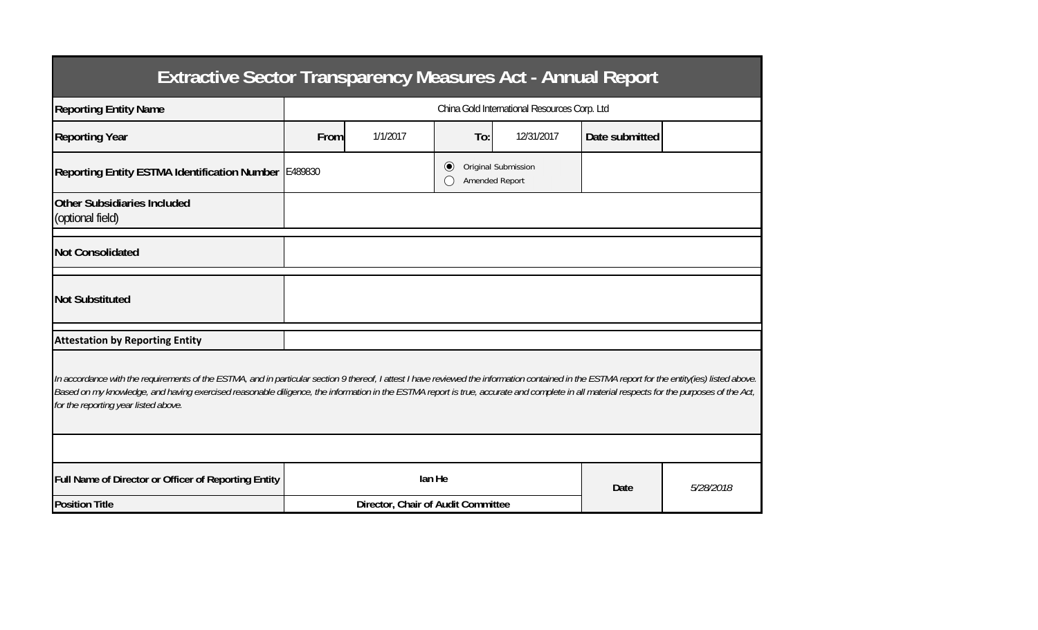| <b>Extractive Sector Transparency Measures Act - Annual Report</b>                                                                                                                                                                                                                                                                                                                                                                    |                                              |                                    |                           |                     |                |           |  |  |  |  |
|---------------------------------------------------------------------------------------------------------------------------------------------------------------------------------------------------------------------------------------------------------------------------------------------------------------------------------------------------------------------------------------------------------------------------------------|----------------------------------------------|------------------------------------|---------------------------|---------------------|----------------|-----------|--|--|--|--|
| <b>Reporting Entity Name</b>                                                                                                                                                                                                                                                                                                                                                                                                          | China Gold International Resources Corp. Ltd |                                    |                           |                     |                |           |  |  |  |  |
| <b>Reporting Year</b>                                                                                                                                                                                                                                                                                                                                                                                                                 | From                                         | 1/1/2017                           | To:                       | 12/31/2017          | Date submitted |           |  |  |  |  |
| Reporting Entity ESTMA Identification Number   E489830                                                                                                                                                                                                                                                                                                                                                                                |                                              |                                    | $\odot$<br>Amended Report | Original Submission |                |           |  |  |  |  |
| <b>Other Subsidiaries Included</b><br>(optional field)                                                                                                                                                                                                                                                                                                                                                                                |                                              |                                    |                           |                     |                |           |  |  |  |  |
| <b>Not Consolidated</b>                                                                                                                                                                                                                                                                                                                                                                                                               |                                              |                                    |                           |                     |                |           |  |  |  |  |
| <b>Not Substituted</b>                                                                                                                                                                                                                                                                                                                                                                                                                |                                              |                                    |                           |                     |                |           |  |  |  |  |
| <b>Attestation by Reporting Entity</b>                                                                                                                                                                                                                                                                                                                                                                                                |                                              |                                    |                           |                     |                |           |  |  |  |  |
| In accordance with the requirements of the ESTMA, and in particular section 9 thereof, I attest I have reviewed the information contained in the ESTMA report for the entity(ies) listed above.<br>Based on my knowledge, and having exercised reasonable diligence, the information in the ESTMA report is true, accurate and complete in all material respects for the purposes of the Act,<br>for the reporting year listed above. |                                              |                                    |                           |                     |                |           |  |  |  |  |
|                                                                                                                                                                                                                                                                                                                                                                                                                                       |                                              |                                    |                           |                     |                |           |  |  |  |  |
| Full Name of Director or Officer of Reporting Entity                                                                                                                                                                                                                                                                                                                                                                                  | lan He                                       |                                    |                           |                     | Date           | 5/28/2018 |  |  |  |  |
| <b>Position Title</b>                                                                                                                                                                                                                                                                                                                                                                                                                 |                                              | Director, Chair of Audit Committee |                           |                     |                |           |  |  |  |  |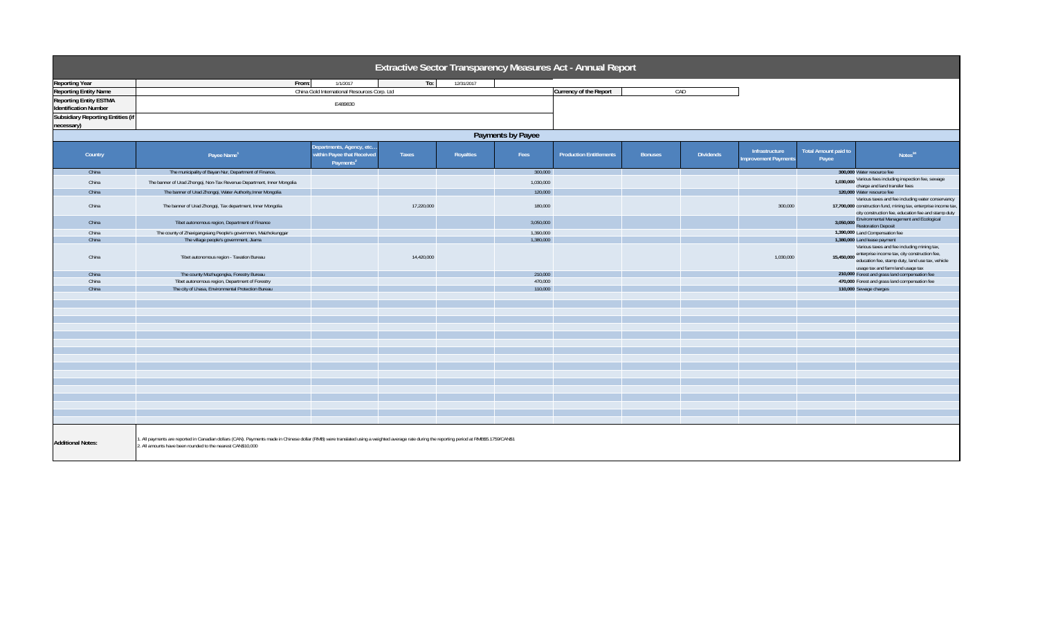| Extractive Sector Transparency Measures Act - Annual Report |                                                                                                                                                                                                                                                        |                                                                                 |            |           |                    |                                |                |                  |                                       |                               |                                                                                                                                                                                                  |  |
|-------------------------------------------------------------|--------------------------------------------------------------------------------------------------------------------------------------------------------------------------------------------------------------------------------------------------------|---------------------------------------------------------------------------------|------------|-----------|--------------------|--------------------------------|----------------|------------------|---------------------------------------|-------------------------------|--------------------------------------------------------------------------------------------------------------------------------------------------------------------------------------------------|--|
| <b>Reporting Year</b>                                       | From:                                                                                                                                                                                                                                                  |                                                                                 |            |           |                    |                                |                |                  |                                       |                               |                                                                                                                                                                                                  |  |
| <b>Reporting Entity Name</b>                                | China Gold International Resources Corp. Ltd                                                                                                                                                                                                           |                                                                                 |            |           |                    | Currency of the Report         |                | CAD              |                                       |                               |                                                                                                                                                                                                  |  |
| <b>Reporting Entity ESTMA</b>                               |                                                                                                                                                                                                                                                        | E489830                                                                         |            |           |                    |                                |                |                  |                                       |                               |                                                                                                                                                                                                  |  |
| <b>Identification Number</b>                                |                                                                                                                                                                                                                                                        |                                                                                 |            |           |                    |                                |                |                  |                                       |                               |                                                                                                                                                                                                  |  |
| <b>Subsidiary Reporting Entities (if</b>                    |                                                                                                                                                                                                                                                        |                                                                                 |            |           |                    |                                |                |                  |                                       |                               |                                                                                                                                                                                                  |  |
| necessary)                                                  |                                                                                                                                                                                                                                                        |                                                                                 |            |           |                    |                                |                |                  |                                       |                               |                                                                                                                                                                                                  |  |
|                                                             | Payments by Payee                                                                                                                                                                                                                                      |                                                                                 |            |           |                    |                                |                |                  |                                       |                               |                                                                                                                                                                                                  |  |
| Country                                                     | Payee Name <sup>1</sup>                                                                                                                                                                                                                                | Departments, Agency, etc<br>vithin Payee that Received<br>Payments <sup>2</sup> | Taxes      | Royalties | Fees               | <b>Production Entitlements</b> | <b>Bonuses</b> | <b>Dividends</b> | Infrastructure<br>mprovement Payments | Total Amount paid to<br>Payee | Notes <sup>34</sup>                                                                                                                                                                              |  |
| China                                                       | The municipality of Bayan Nur, Department of Finance,                                                                                                                                                                                                  |                                                                                 |            |           | 300,000            |                                |                |                  |                                       |                               | 300,000 Water resource fee                                                                                                                                                                       |  |
| China                                                       | The banner of Urad Zhongqi, Non-Tax Revenue Department, Inner Mongolia                                                                                                                                                                                 |                                                                                 |            |           | 1,030,000          |                                |                |                  |                                       |                               | 1,030,000 Various fees including inspection fee, sewage<br>charge and land transfer fees                                                                                                         |  |
| China                                                       | The banner of Urad Zhongqi, Water Authority, Inner Mongolia                                                                                                                                                                                            |                                                                                 |            |           | 120,000            |                                |                |                  |                                       |                               | 120,000 Water resource fee                                                                                                                                                                       |  |
| China                                                       | The banner of Urad Zhongqi, Tax department, Inner Mongolia                                                                                                                                                                                             |                                                                                 | 17,220,000 |           | 180,000            |                                |                |                  | 300,000                               |                               | Various taxes and fee including water conservancy<br>17,700,000 construction fund, mining tax, enterprise income tax,<br>city construction fee, education fee and stamp duty                     |  |
| China                                                       | Tibet autonomous region, Department of Finance                                                                                                                                                                                                         |                                                                                 |            |           | 3,050,000          |                                |                |                  |                                       |                               | 3,050,000 Environmental Management and Ecological<br><b>Restoration Deposit</b>                                                                                                                  |  |
| China                                                       | The county of Zhaxigangxiang People's governmen, Maizhokunggar                                                                                                                                                                                         |                                                                                 |            |           | 1,390,000          |                                |                |                  |                                       |                               | 1,390,000 Land Compensation fee                                                                                                                                                                  |  |
| China                                                       | The village people's government, Jiama                                                                                                                                                                                                                 |                                                                                 |            |           | 1,380,000          |                                |                |                  |                                       |                               | 1,380,000 Land lease payment                                                                                                                                                                     |  |
| China                                                       | Tibet autonomous region - Taxation Bureau                                                                                                                                                                                                              |                                                                                 | 14,420,000 |           |                    |                                |                |                  | 1,030,000                             |                               | Various taxes and fee including mining tax,<br>15,450,000 enterprise income tax, city construction fee,<br>education fee, stamp duty, land use tax, vehicle<br>usage tax and farm land usage tax |  |
| China                                                       | The county Mozhugongka, Forestry Bureau                                                                                                                                                                                                                |                                                                                 |            |           | 210,000            |                                |                |                  |                                       |                               | 210,000 Forest and grass land compensation fee                                                                                                                                                   |  |
| China<br>China                                              | Tibet autonomous region, Department of Forestry<br>The city of Lhasa, Environmental Protection Bureau                                                                                                                                                  |                                                                                 |            |           | 470,000<br>110,000 |                                |                |                  |                                       |                               | 470,000 Forest and grass land compensation fee<br>110,000 Sewage charges                                                                                                                         |  |
|                                                             |                                                                                                                                                                                                                                                        |                                                                                 |            |           |                    |                                |                |                  |                                       |                               |                                                                                                                                                                                                  |  |
|                                                             |                                                                                                                                                                                                                                                        |                                                                                 |            |           |                    |                                |                |                  |                                       |                               |                                                                                                                                                                                                  |  |
|                                                             |                                                                                                                                                                                                                                                        |                                                                                 |            |           |                    |                                |                |                  |                                       |                               |                                                                                                                                                                                                  |  |
|                                                             |                                                                                                                                                                                                                                                        |                                                                                 |            |           |                    |                                |                |                  |                                       |                               |                                                                                                                                                                                                  |  |
|                                                             |                                                                                                                                                                                                                                                        |                                                                                 |            |           |                    |                                |                |                  |                                       |                               |                                                                                                                                                                                                  |  |
|                                                             |                                                                                                                                                                                                                                                        |                                                                                 |            |           |                    |                                |                |                  |                                       |                               |                                                                                                                                                                                                  |  |
|                                                             |                                                                                                                                                                                                                                                        |                                                                                 |            |           |                    |                                |                |                  |                                       |                               |                                                                                                                                                                                                  |  |
|                                                             |                                                                                                                                                                                                                                                        |                                                                                 |            |           |                    |                                |                |                  |                                       |                               |                                                                                                                                                                                                  |  |
|                                                             |                                                                                                                                                                                                                                                        |                                                                                 |            |           |                    |                                |                |                  |                                       |                               |                                                                                                                                                                                                  |  |
|                                                             |                                                                                                                                                                                                                                                        |                                                                                 |            |           |                    |                                |                |                  |                                       |                               |                                                                                                                                                                                                  |  |
|                                                             |                                                                                                                                                                                                                                                        |                                                                                 |            |           |                    |                                |                |                  |                                       |                               |                                                                                                                                                                                                  |  |
|                                                             |                                                                                                                                                                                                                                                        |                                                                                 |            |           |                    |                                |                |                  |                                       |                               |                                                                                                                                                                                                  |  |
|                                                             |                                                                                                                                                                                                                                                        |                                                                                 |            |           |                    |                                |                |                  |                                       |                               |                                                                                                                                                                                                  |  |
|                                                             |                                                                                                                                                                                                                                                        |                                                                                 |            |           |                    |                                |                |                  |                                       |                               |                                                                                                                                                                                                  |  |
|                                                             |                                                                                                                                                                                                                                                        |                                                                                 |            |           |                    |                                |                |                  |                                       |                               |                                                                                                                                                                                                  |  |
|                                                             |                                                                                                                                                                                                                                                        |                                                                                 |            |           |                    |                                |                |                  |                                       |                               |                                                                                                                                                                                                  |  |
| <b>Additional Notes:</b>                                    | All payments are reported in Canadian dollars (CAN). Payments made in Chinese dollar (RMB) were translated using a weighted average rate during the reporting period at RMB\$5.1759/CAN\$1<br>All amounts have been rounded to the nearest CAN\$10,000 |                                                                                 |            |           |                    |                                |                |                  |                                       |                               |                                                                                                                                                                                                  |  |